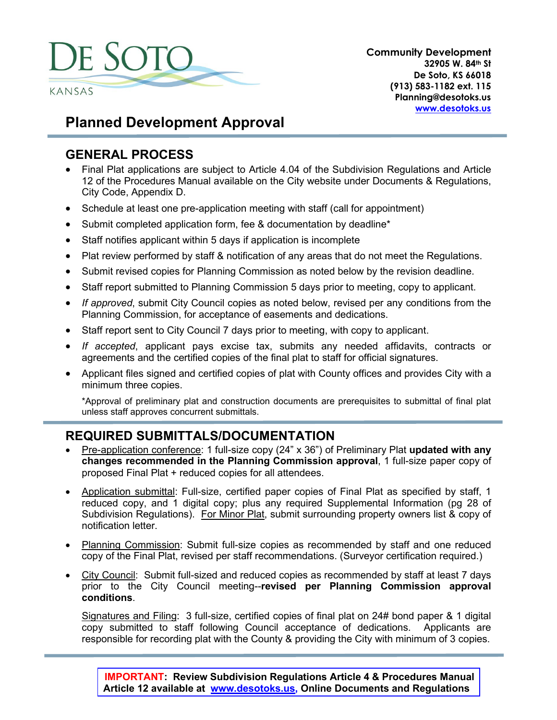

**Community Development 32905 W. 84th St De Soto, KS 66018 (913) 583-1182 ext. 115 Planning@desotoks.us [www.desotoks.us](http://www.desotoks.us/)**

# **Planned Development Approval**

### **GENERAL PROCESS**

- Final Plat applications are subject to Article 4.04 of the Subdivision Regulations and Article 12 of the Procedures Manual available on the City website under Documents & Regulations, City Code, Appendix D.
- Schedule at least one pre-application meeting with staff (call for appointment)
- Submit completed application form, fee & documentation by deadline\*
- Staff notifies applicant within 5 days if application is incomplete
- Plat review performed by staff & notification of any areas that do not meet the Regulations.
- Submit revised copies for Planning Commission as noted below by the revision deadline.
- Staff report submitted to Planning Commission 5 days prior to meeting, copy to applicant.
- *If approved*, submit City Council copies as noted below, revised per any conditions from the Planning Commission, for acceptance of easements and dedications.
- Staff report sent to City Council 7 days prior to meeting, with copy to applicant.
- *If accepted*, applicant pays excise tax, submits any needed affidavits, contracts or agreements and the certified copies of the final plat to staff for official signatures.
- Applicant files signed and certified copies of plat with County offices and provides City with a minimum three copies.

\*Approval of preliminary plat and construction documents are prerequisites to submittal of final plat unless staff approves concurrent submittals.

## **REQUIRED SUBMITTALS/DOCUMENTATION**

- Pre-application conference: 1 full-size copy (24" x 36") of Preliminary Plat **updated with any changes recommended in the Planning Commission approval**, 1 full-size paper copy of proposed Final Plat + reduced copies for all attendees.
- Application submittal: Full-size, certified paper copies of Final Plat as specified by staff, 1 reduced copy, and 1 digital copy; plus any required Supplemental Information (pg 28 of Subdivision Regulations). For Minor Plat, submit surrounding property owners list & copy of notification letter.
- Planning Commission: Submit full-size copies as recommended by staff and one reduced copy of the Final Plat, revised per staff recommendations. (Surveyor certification required.)
- City Council: Submit full-sized and reduced copies as recommended by staff at least 7 days prior to the City Council meeting--**revised per Planning Commission approval conditions**.

Signatures and Filing: 3 full-size, certified copies of final plat on 24# bond paper & 1 digital copy submitted to staff following Council acceptance of dedications. Applicants are responsible for recording plat with the County & providing the City with minimum of 3 copies.

**IMPORTANT: Review Subdivision Regulations Article 4 & Procedures Manual Article 12 available at [www.desotoks.us,](http://www.desotoks.us/) Online Documents and Regulations**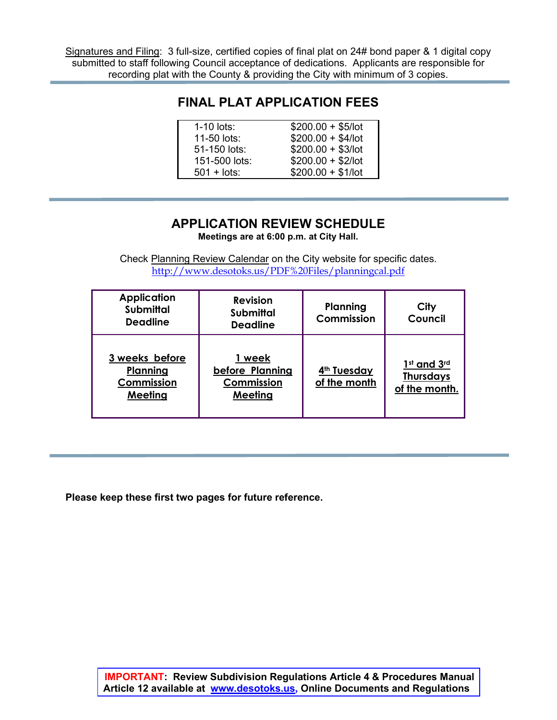Signatures and Filing: 3 full-size, certified copies of final plat on 24# bond paper & 1 digital copy submitted to staff following Council acceptance of dedications. Applicants are responsible for recording plat with the County & providing the City with minimum of 3 copies.

### **FINAL PLAT APPLICATION FEES**

| $1-10$ lots:        | $$200.00 + $5/$ lot |
|---------------------|---------------------|
| 11-50 lots:         | $$200.00 + $4/$ lot |
| 51-150 lots:        | $$200.00 + $3/$ lot |
| 151-500 lots:       | $$200.00 + $2$ /lot |
| $501 + \text{lots}$ | $$200.00 + $1/lot$  |

### **APPLICATION REVIEW SCHEDULE**

**Meetings are at 6:00 p.m. at City Hall.**

Check Planning Review Calendar on the City website for specific dates. <http://www.desotoks.us/PDF%20Files/planningcal.pdf>

| <b>Application</b><br><b>Submittal</b><br><b>Deadline</b> | <b>Revision</b><br><b>Submittal</b><br><b>Deadline</b> | Planning<br>Commission                  | City<br>Council                                  |
|-----------------------------------------------------------|--------------------------------------------------------|-----------------------------------------|--------------------------------------------------|
| 3 weeks before<br>Planning<br>Commission<br>Meeting       | week<br>before Planning<br>Commission<br>Meeting       | 4 <sup>th</sup> Tuesday<br>of the month | 1st and 3rd<br><b>Thursdays</b><br>of the month. |

**Please keep these first two pages for future reference.**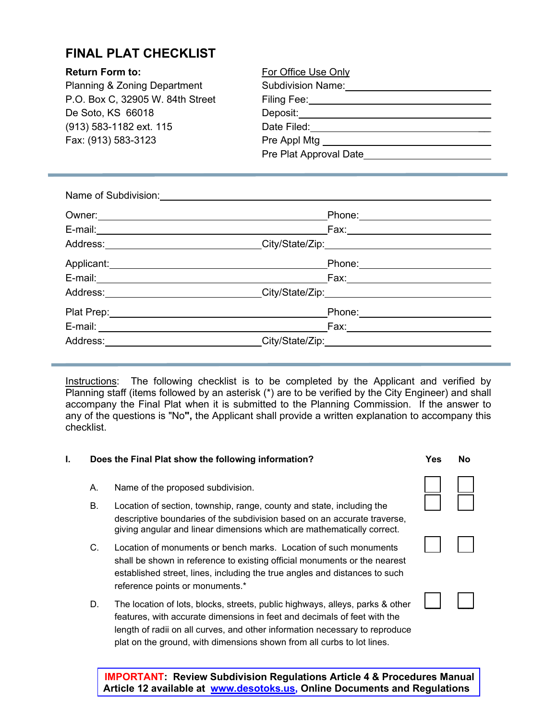## **FINAL PLAT CHECKLIST**

| <b>Return Form to:</b>                  | For Office Use Only              |
|-----------------------------------------|----------------------------------|
| <b>Planning &amp; Zoning Department</b> | <b>Subdivision Name:</b>         |
| P.O. Box C, 32905 W. 84th Street        | Filing Fee:                      |
| De Soto, KS 66018                       | Deposit:                         |
| (913) 583-1182 ext. 115                 | Date Filed:                      |
| Fax: (913) 583-3123                     | Pre Appl Mtg ___________________ |
|                                         | Pre Plat Approval Date           |

|                              | Phone: __________________________                                                                                                                                                                                                   |  |
|------------------------------|-------------------------------------------------------------------------------------------------------------------------------------------------------------------------------------------------------------------------------------|--|
|                              |                                                                                                                                                                                                                                     |  |
|                              | Address: ______________________________City/State/Zip:__________________________                                                                                                                                                    |  |
|                              | Applicant: <u>Applicant</u> Control Control Control Control Control Control Control Control Control Control Control Control Control Control Control Control Control Control Control Control Control Control Control Control Control |  |
|                              |                                                                                                                                                                                                                                     |  |
|                              | Address: _____________________________City/State/Zip:___________________________                                                                                                                                                    |  |
|                              | Phone: ________________________                                                                                                                                                                                                     |  |
| E-mail: ____________________ |                                                                                                                                                                                                                                     |  |
|                              | Address: City/State/Zip: City/State/Zip:                                                                                                                                                                                            |  |

Instructions: The following checklist is to be completed by the Applicant and verified by Planning staff (items followed by an asterisk (\*) are to be verified by the City Engineer) and shall accompany the Final Plat when it is submitted to the Planning Commission. If the answer to any of the questions is "No**",** the Applicant shall provide a written explanation to accompany this checklist.

#### **I. Does the Final Plat show the following information? Yes No**

- A. Name of the proposed subdivision.
- B. Location of section, township, range, county and state, including the descriptive boundaries of the subdivision based on an accurate traverse, giving angular and linear dimensions which are mathematically correct.
- C. Location of monuments or bench marks. Location of such monuments shall be shown in reference to existing official monuments or the nearest established street, lines, including the true angles and distances to such reference points or monuments.\*
- D. The location of lots, blocks, streets, public highways, alleys, parks & other features, with accurate dimensions in feet and decimals of feet with the length of radii on all curves, and other information necessary to reproduce plat on the ground, with dimensions shown from all curbs to lot lines.



**IMPORTANT: Review Subdivision Regulations Article 4 & Procedures Manual Article 12 available at [www.desotoks.us,](http://www.desotoks.us/) Online Documents and Regulations**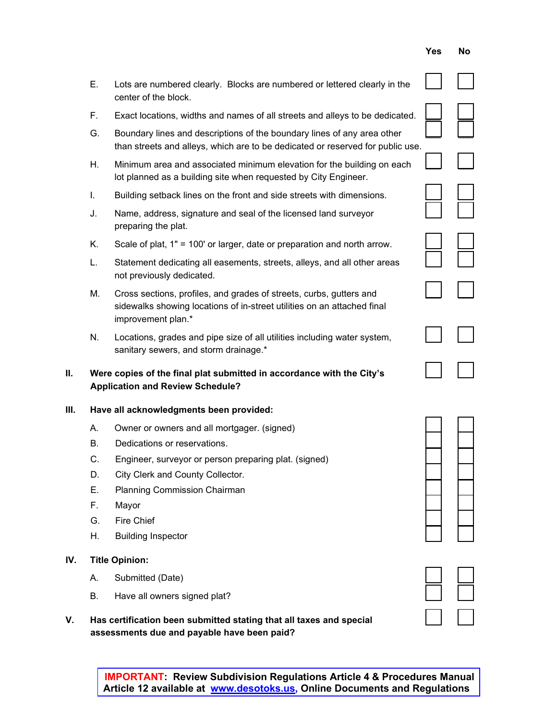|                                                                            | <b>IMPORTANT: Review Subdivision Regulations Article 4 &amp; Procedures Manual</b> |
|----------------------------------------------------------------------------|------------------------------------------------------------------------------------|
| Article 12 available at  www.desotoks.us, Online Documents and Regulations |                                                                                    |

- **Yes No**
- E. Lots are numbered clearly. Blocks are numbered or lettered clearly in the center of the block.
- F. Exact locations, widths and names of all streets and alleys to be dedicated.
- G. Boundary lines and descriptions of the boundary lines of any area other than streets and alleys, which are to be dedicated or reserved for public use.
- H. Minimum area and associated minimum elevation for the building on each lot planned as a building site when requested by City Engineer.
- I. Building setback lines on the front and side streets with dimensions.
- J. Name, address, signature and seal of the licensed land surveyor preparing the plat.
- K. Scale of plat,  $1" = 100'$  or larger, date or preparation and north arrow.
- L. Statement dedicating all easements, streets, alleys, and all other areas not previously dedicated.
- M. Cross sections, profiles, and grades of streets, curbs, gutters and sidewalks showing locations of in-street utilities on an attached final improvement plan.\*
- N. Locations, grades and pipe size of all utilities including water system, sanitary sewers, and storm drainage.\*
- **II.** Were copies of the final plat submitted in accordance with the City's **Application and Review Schedule?**

#### **III. Have all acknowledgments been provided:**

- A. Owner or owners and all mortgager. (signed)
- B. Dedications or reservations.
- C. Engineer, surveyor or person preparing plat. (signed)
- D. City Clerk and County Collector.
- E. Planning Commission Chairman
- 
- G. Fire Chief  $\qquad \qquad \Box$
- H. Building Inspector
- **IV. Title Opinion:**
	- A. Submitted (Date)
	- B. Have all owners signed plat?
- **V. Has certification been submitted stating that all taxes and special** \_\_\_ \_\_\_ **assessments due and payable have been paid?**







| $\overline{\phantom{a}}$ |  |
|--------------------------|--|
|                          |  |
|                          |  |